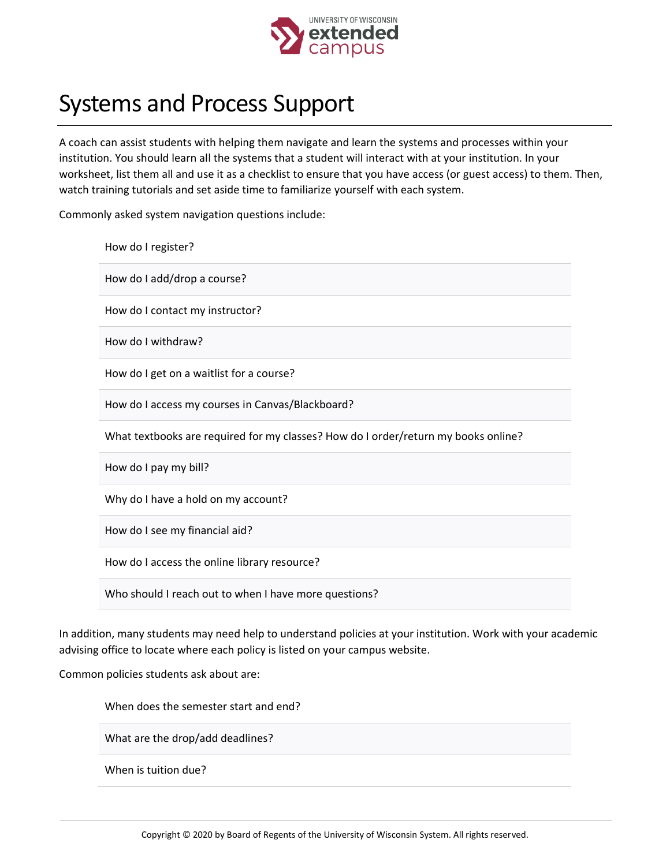

## Systems and Process Support

A coach can assist students with helping them navigate and learn the systems and processes within your institution. You should learn all the systems that a student will interact with at your institution. In your worksheet, list them all and use it as a checklist to ensure that you have access (or guest access) to them. Then, watch training tutorials and set aside time to familiarize yourself with each system.

Commonly asked system navigation questions include:

| How do I register?                                                                 |
|------------------------------------------------------------------------------------|
| How do I add/drop a course?                                                        |
| How do I contact my instructor?                                                    |
| How do I withdraw?                                                                 |
| How do I get on a waitlist for a course?                                           |
| How do I access my courses in Canvas/Blackboard?                                   |
| What textbooks are required for my classes? How do I order/return my books online? |
| How do I pay my bill?                                                              |
| Why do I have a hold on my account?                                                |
| How do I see my financial aid?                                                     |
| How do I access the online library resource?                                       |
|                                                                                    |

Who should I reach out to when I have more questions?

In addition, many students may need help to understand policies at your institution. Work with your academic advising office to locate where each policy is listed on your campus website.

Common policies students ask about are:

When does the semester start and end?

What are the drop/add deadlines?

When is tuition due?